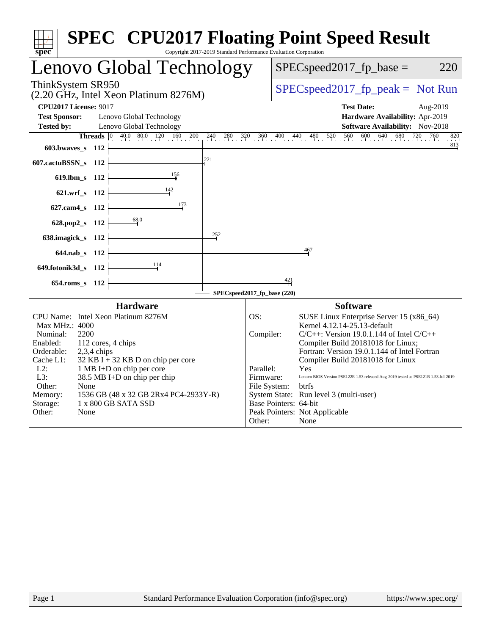| $spec^*$                                                                                                                                              |                                                                                                                                                                                                                                                                    |                                 |                             | <b>SPEC<sup>®</sup> CPU2017 Floating Point Speed Result</b><br>Copyright 2017-2019 Standard Performance Evaluation Corporation                                                                                                                                                                                                                                                                                                                                                                                                   |                                 |
|-------------------------------------------------------------------------------------------------------------------------------------------------------|--------------------------------------------------------------------------------------------------------------------------------------------------------------------------------------------------------------------------------------------------------------------|---------------------------------|-----------------------------|----------------------------------------------------------------------------------------------------------------------------------------------------------------------------------------------------------------------------------------------------------------------------------------------------------------------------------------------------------------------------------------------------------------------------------------------------------------------------------------------------------------------------------|---------------------------------|
|                                                                                                                                                       | Lenovo Global Technology                                                                                                                                                                                                                                           |                                 |                             | $SPEC speed2017_fp\_base =$                                                                                                                                                                                                                                                                                                                                                                                                                                                                                                      | 220                             |
| ThinkSystem SR950                                                                                                                                     | (2.20 GHz, Intel Xeon Platinum 8276M)                                                                                                                                                                                                                              |                                 |                             | $SPEC speed2017rfp peak = Not Run$                                                                                                                                                                                                                                                                                                                                                                                                                                                                                               |                                 |
| <b>CPU2017 License: 9017</b>                                                                                                                          |                                                                                                                                                                                                                                                                    |                                 |                             | <b>Test Date:</b>                                                                                                                                                                                                                                                                                                                                                                                                                                                                                                                | Aug-2019                        |
| <b>Test Sponsor:</b>                                                                                                                                  | Lenovo Global Technology                                                                                                                                                                                                                                           |                                 |                             |                                                                                                                                                                                                                                                                                                                                                                                                                                                                                                                                  | Hardware Availability: Apr-2019 |
| <b>Tested by:</b>                                                                                                                                     | Lenovo Global Technology                                                                                                                                                                                                                                           |                                 |                             |                                                                                                                                                                                                                                                                                                                                                                                                                                                                                                                                  | Software Availability: Nov-2018 |
|                                                                                                                                                       | <b>Threads</b> $\vert 0 \rangle$                                                                                                                                                                                                                                   | $40.0$ $80.0$ $120$ $160$ $200$ | 240 280                     | 320 360 400 440 480 520 560 600 640 680 720 760                                                                                                                                                                                                                                                                                                                                                                                                                                                                                  | 820                             |
| $603.bwaves_s$ 112                                                                                                                                    |                                                                                                                                                                                                                                                                    |                                 |                             |                                                                                                                                                                                                                                                                                                                                                                                                                                                                                                                                  | $\frac{813}{4}$                 |
| 607.cactuBSSN_s 112                                                                                                                                   |                                                                                                                                                                                                                                                                    | 221                             |                             |                                                                                                                                                                                                                                                                                                                                                                                                                                                                                                                                  |                                 |
| 619.lbm_s 112                                                                                                                                         |                                                                                                                                                                                                                                                                    | $\frac{156}{1}$                 |                             |                                                                                                                                                                                                                                                                                                                                                                                                                                                                                                                                  |                                 |
| 621.wrf_s 112                                                                                                                                         |                                                                                                                                                                                                                                                                    |                                 |                             |                                                                                                                                                                                                                                                                                                                                                                                                                                                                                                                                  |                                 |
| $627$ .cam $4 \text{ s}$                                                                                                                              | - 112                                                                                                                                                                                                                                                              | 173                             |                             |                                                                                                                                                                                                                                                                                                                                                                                                                                                                                                                                  |                                 |
| 628.pop2_s 112                                                                                                                                        | 68.0                                                                                                                                                                                                                                                               |                                 |                             |                                                                                                                                                                                                                                                                                                                                                                                                                                                                                                                                  |                                 |
| 638.imagick_s                                                                                                                                         | - 112                                                                                                                                                                                                                                                              |                                 | $\frac{252}{3}$             |                                                                                                                                                                                                                                                                                                                                                                                                                                                                                                                                  |                                 |
| 644.nab s 112                                                                                                                                         |                                                                                                                                                                                                                                                                    |                                 |                             | 467                                                                                                                                                                                                                                                                                                                                                                                                                                                                                                                              |                                 |
| 649.fotonik3d_s 112                                                                                                                                   |                                                                                                                                                                                                                                                                    | 114                             |                             |                                                                                                                                                                                                                                                                                                                                                                                                                                                                                                                                  |                                 |
| 654.roms s 112                                                                                                                                        |                                                                                                                                                                                                                                                                    |                                 |                             | $\frac{421}{1}$                                                                                                                                                                                                                                                                                                                                                                                                                                                                                                                  |                                 |
|                                                                                                                                                       |                                                                                                                                                                                                                                                                    |                                 | SPECspeed2017_fp_base (220) |                                                                                                                                                                                                                                                                                                                                                                                                                                                                                                                                  |                                 |
| Max MHz.: 4000<br>Nominal:<br>2200<br>Enabled:<br>Orderable:<br>Cache L1:<br>$L2$ :<br>L3:<br>Other:<br>None<br>Memory:<br>Storage:<br>Other:<br>None | <b>Hardware</b><br>CPU Name: Intel Xeon Platinum 8276M<br>112 cores, 4 chips<br>$2,3,4$ chips<br>$32$ KB I + 32 KB D on chip per core<br>1 MB I+D on chip per core<br>38.5 MB I+D on chip per chip<br>1536 GB (48 x 32 GB 2Rx4 PC4-2933Y-R)<br>1 x 800 GB SATA SSD |                                 | OS:<br>Parallel:<br>Other:  | <b>Software</b><br>SUSE Linux Enterprise Server 15 (x86_64)<br>Kernel 4.12.14-25.13-default<br>Compiler:<br>$C/C++$ : Version 19.0.1.144 of Intel $C/C++$<br>Compiler Build 20181018 for Linux;<br>Fortran: Version 19.0.1.144 of Intel Fortran<br>Compiler Build 20181018 for Linux<br>Yes<br>Lenovo BIOS Version PSE122R 1.53 released Aug-2019 tested as PSE121R 1.53 Jul-2019<br>Firmware:<br>File System: btrfs<br>System State: Run level 3 (multi-user)<br>Base Pointers: 64-bit<br>Peak Pointers: Not Applicable<br>None |                                 |
|                                                                                                                                                       |                                                                                                                                                                                                                                                                    |                                 |                             |                                                                                                                                                                                                                                                                                                                                                                                                                                                                                                                                  |                                 |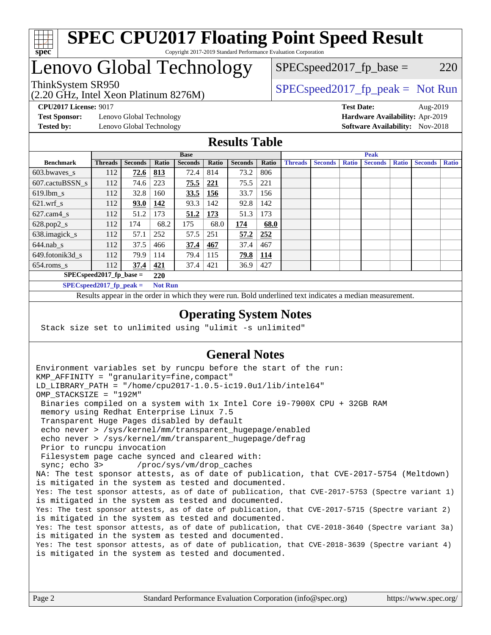

### Lenovo Global Technology

(2.20 GHz, Intel Xeon Platinum 8276M)

ThinkSystem SR950<br>  $SPEC speed2017<sub>rfp</sub> peak = Not Run$ 

 $SPEC speed2017_fp\_base = 220$ 

**[Test Sponsor:](http://www.spec.org/auto/cpu2017/Docs/result-fields.html#TestSponsor)** Lenovo Global Technology **[Hardware Availability:](http://www.spec.org/auto/cpu2017/Docs/result-fields.html#HardwareAvailability)** Apr-2019 **[Tested by:](http://www.spec.org/auto/cpu2017/Docs/result-fields.html#Testedby)** Lenovo Global Technology **[Software Availability:](http://www.spec.org/auto/cpu2017/Docs/result-fields.html#SoftwareAvailability)** Nov-2018

**[CPU2017 License:](http://www.spec.org/auto/cpu2017/Docs/result-fields.html#CPU2017License)** 9017 **[Test Date:](http://www.spec.org/auto/cpu2017/Docs/result-fields.html#TestDate)** Aug-2019

#### **[Results Table](http://www.spec.org/auto/cpu2017/Docs/result-fields.html#ResultsTable)**

| <b>Base</b>                 |                            |                |                | <b>Peak</b>    |            |                |            |                |                |              |                |              |                |              |
|-----------------------------|----------------------------|----------------|----------------|----------------|------------|----------------|------------|----------------|----------------|--------------|----------------|--------------|----------------|--------------|
| <b>Benchmark</b>            | <b>Threads</b>             | <b>Seconds</b> | Ratio          | <b>Seconds</b> | Ratio      | <b>Seconds</b> | Ratio      | <b>Threads</b> | <b>Seconds</b> | <b>Ratio</b> | <b>Seconds</b> | <b>Ratio</b> | <b>Seconds</b> | <b>Ratio</b> |
| 603.bwayes s                | 112                        | 72.6           | 813            | 72.4           | 814        | 73.2           | 806        |                |                |              |                |              |                |              |
| 607.cactuBSSN s             | 112                        | 74.6           | 223            | 75.5           | 221        | 75.5           | 221        |                |                |              |                |              |                |              |
| $619.$ lbm s                | 112                        | 32.8           | 160            | 33.5           | 156        | 33.7           | 156        |                |                |              |                |              |                |              |
| $621.wrf$ s                 | 112                        | 93.0           | <u>142</u>     | 93.3           | 142        | 92.8           | 142        |                |                |              |                |              |                |              |
| $627$ .cam $4$ <sub>s</sub> | 112                        | 51.2           | 173            | 51.2           | 173        | 51.3           | 173        |                |                |              |                |              |                |              |
| $628.pop2_s$                | 112                        | 174            | 68.2           | 175            | 68.0       | 174            | 68.0       |                |                |              |                |              |                |              |
| 638.imagick_s               | 112                        | 57.1           | 252            | 57.5           | 251        | 57.2           | 252        |                |                |              |                |              |                |              |
| $644$ .nab s                | 112                        | 37.5           | 466            | 37.4           | <u>467</u> | 37.4           | 467        |                |                |              |                |              |                |              |
| 649.fotonik3d s             | 112                        | 79.9           | 114            | 79.4           | 115        | <u>79.8</u>    | <u>114</u> |                |                |              |                |              |                |              |
| $654$ .roms s               | 112                        | 37.4           | 421            | 37.4           | 421        | 36.9           | 427        |                |                |              |                |              |                |              |
|                             | $SPECspeed2017_fp\_base =$ |                | 220            |                |            |                |            |                |                |              |                |              |                |              |
|                             | $SPECspeed2017_fp\_peak =$ |                | <b>Not Run</b> |                |            |                |            |                |                |              |                |              |                |              |

Results appear in the [order in which they were run.](http://www.spec.org/auto/cpu2017/Docs/result-fields.html#RunOrder) Bold underlined text [indicates a median measurement](http://www.spec.org/auto/cpu2017/Docs/result-fields.html#Median).

#### **[Operating System Notes](http://www.spec.org/auto/cpu2017/Docs/result-fields.html#OperatingSystemNotes)**

Stack size set to unlimited using "ulimit -s unlimited"

### **[General Notes](http://www.spec.org/auto/cpu2017/Docs/result-fields.html#GeneralNotes)**

Environment variables set by runcpu before the start of the run: KMP\_AFFINITY = "granularity=fine,compact" LD\_LIBRARY\_PATH = "/home/cpu2017-1.0.5-ic19.0u1/lib/intel64" OMP\_STACKSIZE = "192M" Binaries compiled on a system with 1x Intel Core i9-7900X CPU + 32GB RAM memory using Redhat Enterprise Linux 7.5 Transparent Huge Pages disabled by default echo never > /sys/kernel/mm/transparent\_hugepage/enabled echo never > /sys/kernel/mm/transparent\_hugepage/defrag Prior to runcpu invocation Filesystem page cache synced and cleared with: sync; echo 3> /proc/sys/vm/drop\_caches NA: The test sponsor attests, as of date of publication, that CVE-2017-5754 (Meltdown) is mitigated in the system as tested and documented. Yes: The test sponsor attests, as of date of publication, that CVE-2017-5753 (Spectre variant 1) is mitigated in the system as tested and documented. Yes: The test sponsor attests, as of date of publication, that CVE-2017-5715 (Spectre variant 2) is mitigated in the system as tested and documented. Yes: The test sponsor attests, as of date of publication, that CVE-2018-3640 (Spectre variant 3a) is mitigated in the system as tested and documented. Yes: The test sponsor attests, as of date of publication, that CVE-2018-3639 (Spectre variant 4) is mitigated in the system as tested and documented.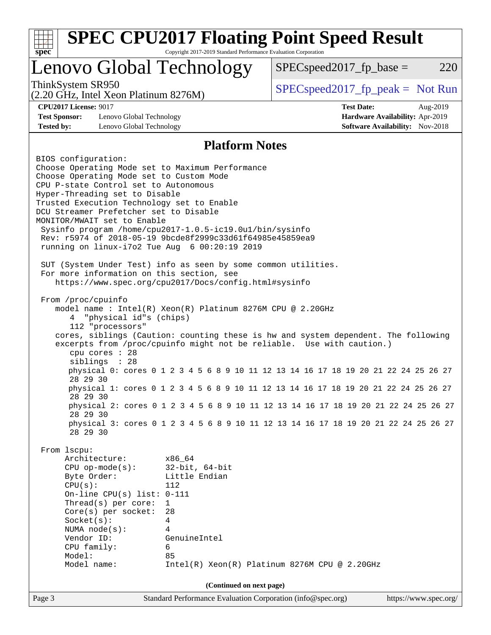| spec <sup>®</sup>                                                         |                                                                                                                                                                                                                                                                                                       | <b>SPEC CPU2017 Floating Point Speed Result</b><br>Copyright 2017-2019 Standard Performance Evaluation Corporation                                                                                                                                                                                                                                                                                                                                                                                                                                                                                                                                                                                                                                                                                                                                           |  |                                                                                                |                       |     |
|---------------------------------------------------------------------------|-------------------------------------------------------------------------------------------------------------------------------------------------------------------------------------------------------------------------------------------------------------------------------------------------------|--------------------------------------------------------------------------------------------------------------------------------------------------------------------------------------------------------------------------------------------------------------------------------------------------------------------------------------------------------------------------------------------------------------------------------------------------------------------------------------------------------------------------------------------------------------------------------------------------------------------------------------------------------------------------------------------------------------------------------------------------------------------------------------------------------------------------------------------------------------|--|------------------------------------------------------------------------------------------------|-----------------------|-----|
|                                                                           |                                                                                                                                                                                                                                                                                                       | Lenovo Global Technology                                                                                                                                                                                                                                                                                                                                                                                                                                                                                                                                                                                                                                                                                                                                                                                                                                     |  | $SPEC speed2017_fp\_base =$                                                                    |                       | 220 |
| ThinkSystem SR950                                                         | (2.20 GHz, Intel Xeon Platinum 8276M)                                                                                                                                                                                                                                                                 |                                                                                                                                                                                                                                                                                                                                                                                                                                                                                                                                                                                                                                                                                                                                                                                                                                                              |  | $SPEC speed2017fr peak = Not Run$                                                              |                       |     |
| <b>CPU2017 License: 9017</b><br><b>Test Sponsor:</b><br><b>Tested by:</b> | Lenovo Global Technology<br>Lenovo Global Technology                                                                                                                                                                                                                                                  |                                                                                                                                                                                                                                                                                                                                                                                                                                                                                                                                                                                                                                                                                                                                                                                                                                                              |  | <b>Test Date:</b><br>Hardware Availability: Apr-2019<br><b>Software Availability:</b> Nov-2018 | Aug-2019              |     |
|                                                                           |                                                                                                                                                                                                                                                                                                       | <b>Platform Notes</b>                                                                                                                                                                                                                                                                                                                                                                                                                                                                                                                                                                                                                                                                                                                                                                                                                                        |  |                                                                                                |                       |     |
| BIOS configuration:<br>From /proc/cpuinfo<br>4                            | Choose Operating Mode set to Custom Mode<br>CPU P-state Control set to Autonomous<br>Hyper-Threading set to Disable<br>DCU Streamer Prefetcher set to Disable<br>MONITOR/MWAIT set to Enable<br>"physical id"s (chips)<br>112 "processors"<br>cpu cores : 28<br>siblings : 28<br>28 29 30<br>28 29 30 | Choose Operating Mode set to Maximum Performance<br>Trusted Execution Technology set to Enable<br>Sysinfo program /home/cpu2017-1.0.5-ic19.0ul/bin/sysinfo<br>Rev: r5974 of 2018-05-19 9bcde8f2999c33d61f64985e45859ea9<br>running on linux-i7o2 Tue Aug 6 00:20:19 2019<br>SUT (System Under Test) info as seen by some common utilities.<br>For more information on this section, see<br>https://www.spec.org/cpu2017/Docs/config.html#sysinfo<br>model name: $Intel(R)$ Xeon(R) Platinum 8276M CPU @ 2.20GHz<br>cores, siblings (Caution: counting these is hw and system dependent. The following<br>excerpts from /proc/cpuinfo might not be reliable. Use with caution.)<br>physical 0: cores 0 1 2 3 4 5 6 8 9 10 11 12 13 14 16 17 18 19 20 21 22 24 25 26 27<br>physical 1: cores 0 1 2 3 4 5 6 8 9 10 11 12 13 14 16 17 18 19 20 21 22 24 25 26 27 |  |                                                                                                |                       |     |
|                                                                           | 28 29 30                                                                                                                                                                                                                                                                                              | physical 2: cores 0 1 2 3 4 5 6 8 9 10 11 12 13 14 16 17 18 19 20 21 22 24 25 26 27<br>physical 3: cores 0 1 2 3 4 5 6 8 9 10 11 12 13 14 16 17 18 19 20 21 22 24 25 26 27                                                                                                                                                                                                                                                                                                                                                                                                                                                                                                                                                                                                                                                                                   |  |                                                                                                |                       |     |
| From lscpu:<br>CPU(s):<br>Vendor ID:<br>Model:                            | 28 29 30<br>Architecture:<br>$CPU$ op-mode(s):<br>Byte Order:<br>On-line CPU(s) list: $0-111$<br>Thread(s) per core:<br>Core(s) per socket:<br>Socket(s):<br>NUMA $node(s):$<br>CPU family:<br>Model name:                                                                                            | x86 64<br>$32$ -bit, $64$ -bit<br>Little Endian<br>112<br>$\mathbf{1}$<br>28<br>4<br>4<br>GenuineIntel<br>6<br>85<br>Intel(R) Xeon(R) Platinum 8276M CPU @ 2.20GHz                                                                                                                                                                                                                                                                                                                                                                                                                                                                                                                                                                                                                                                                                           |  |                                                                                                |                       |     |
|                                                                           |                                                                                                                                                                                                                                                                                                       | (Continued on next page)                                                                                                                                                                                                                                                                                                                                                                                                                                                                                                                                                                                                                                                                                                                                                                                                                                     |  |                                                                                                |                       |     |
| Page 3                                                                    |                                                                                                                                                                                                                                                                                                       | Standard Performance Evaluation Corporation (info@spec.org)                                                                                                                                                                                                                                                                                                                                                                                                                                                                                                                                                                                                                                                                                                                                                                                                  |  |                                                                                                | https://www.spec.org/ |     |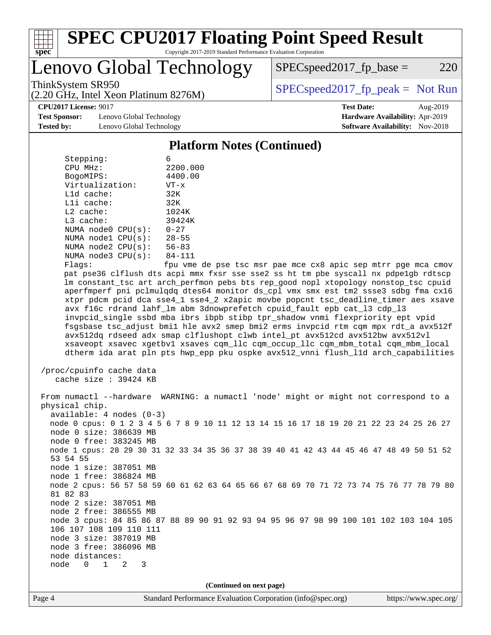

Lenovo Global Technology

(2.20 GHz, Intel Xeon Platinum 8276M)

ThinkSystem SR950<br>  $SPEC speed2017<sub>rfp</sub> peak = Not Run$ 

 $SPEC speed2017_fp\_base = 220$ 

**[Test Sponsor:](http://www.spec.org/auto/cpu2017/Docs/result-fields.html#TestSponsor)** Lenovo Global Technology **[Hardware Availability:](http://www.spec.org/auto/cpu2017/Docs/result-fields.html#HardwareAvailability)** Apr-2019 **[Tested by:](http://www.spec.org/auto/cpu2017/Docs/result-fields.html#Testedby)** Lenovo Global Technology **[Software Availability:](http://www.spec.org/auto/cpu2017/Docs/result-fields.html#SoftwareAvailability)** Nov-2018

**[CPU2017 License:](http://www.spec.org/auto/cpu2017/Docs/result-fields.html#CPU2017License)** 9017 **[Test Date:](http://www.spec.org/auto/cpu2017/Docs/result-fields.html#TestDate)** Aug-2019

#### **[Platform Notes \(Continued\)](http://www.spec.org/auto/cpu2017/Docs/result-fields.html#PlatformNotes)**

| Stepping:       |                         |           |
|-----------------|-------------------------|-----------|
| CPU MHz:        |                         | 2200.000  |
| BogoMIPS:       |                         | 4400.00   |
| Virtualization: |                         | $VT - x$  |
| L1d cache:      |                         | 32K       |
| Lli cache:      |                         | 32K       |
| $L2$ cache:     |                         | 1024K     |
| $L3$ cache:     |                         | 39424K    |
|                 | NUMA $node0$ $CPU(s)$ : | $0 - 27$  |
|                 | NUMA $node1$ $CPU(s)$ : | $28 - 55$ |
|                 | NUMA node2 CPU(s):      | $56 - 83$ |
|                 | NUMA $node3$ $CPU(s)$ : | 84-111    |
|                 |                         |           |

Flags: fpu vme de pse tsc msr pae mce cx8 apic sep mtrr pge mca cmov pat pse36 clflush dts acpi mmx fxsr sse sse2 ss ht tm pbe syscall nx pdpe1gb rdtscp lm constant\_tsc art arch\_perfmon pebs bts rep\_good nopl xtopology nonstop\_tsc cpuid aperfmperf pni pclmulqdq dtes64 monitor ds\_cpl vmx smx est tm2 ssse3 sdbg fma cx16 xtpr pdcm pcid dca sse4\_1 sse4\_2 x2apic movbe popcnt tsc\_deadline\_timer aes xsave avx f16c rdrand lahf\_lm abm 3dnowprefetch cpuid\_fault epb cat\_l3 cdp\_l3 invpcid\_single ssbd mba ibrs ibpb stibp tpr\_shadow vnmi flexpriority ept vpid fsgsbase tsc\_adjust bmi1 hle avx2 smep bmi2 erms invpcid rtm cqm mpx rdt\_a avx512f avx512dq rdseed adx smap clflushopt clwb intel\_pt avx512cd avx512bw avx512vl xsaveopt xsavec xgetbv1 xsaves cqm\_llc cqm\_occup\_llc cqm\_mbm\_total cqm\_mbm\_local dtherm ida arat pln pts hwp\_epp pku ospke avx512\_vnni flush\_l1d arch\_capabilities

 /proc/cpuinfo cache data cache size : 39424 KB

 From numactl --hardware WARNING: a numactl 'node' might or might not correspond to a physical chip. available: 4 nodes (0-3) node 0 cpus: 0 1 2 3 4 5 6 7 8 9 10 11 12 13 14 15 16 17 18 19 20 21 22 23 24 25 26 27 node 0 size: 386639 MB node 0 free: 383245 MB node 1 cpus: 28 29 30 31 32 33 34 35 36 37 38 39 40 41 42 43 44 45 46 47 48 49 50 51 52 53 54 55 node 1 size: 387051 MB node 1 free: 386824 MB node 2 cpus: 56 57 58 59 60 61 62 63 64 65 66 67 68 69 70 71 72 73 74 75 76 77 78 79 80 81 82 83 node 2 size: 387051 MB node 2 free: 386555 MB node 3 cpus: 84 85 86 87 88 89 90 91 92 93 94 95 96 97 98 99 100 101 102 103 104 105 106 107 108 109 110 111 node 3 size: 387019 MB node 3 free: 386096 MB node distances: node 0 1 2 3

**(Continued on next page)**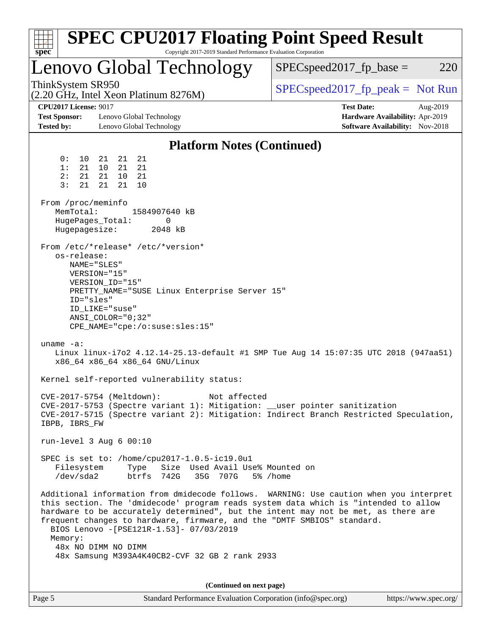| <b>SPEC CPU2017 Floating Point Speed Result</b><br>Copyright 2017-2019 Standard Performance Evaluation Corporation<br>$spec^*$                                                                                                                                                                                                                                                                                                                                                                                                                                                                                                                                                                                                                                                                                                                                                                                                                                                                                                                                                                                                                                                                                                                                                                                                                                                                                                                                                                                                                                                  |                                                                                                     |
|---------------------------------------------------------------------------------------------------------------------------------------------------------------------------------------------------------------------------------------------------------------------------------------------------------------------------------------------------------------------------------------------------------------------------------------------------------------------------------------------------------------------------------------------------------------------------------------------------------------------------------------------------------------------------------------------------------------------------------------------------------------------------------------------------------------------------------------------------------------------------------------------------------------------------------------------------------------------------------------------------------------------------------------------------------------------------------------------------------------------------------------------------------------------------------------------------------------------------------------------------------------------------------------------------------------------------------------------------------------------------------------------------------------------------------------------------------------------------------------------------------------------------------------------------------------------------------|-----------------------------------------------------------------------------------------------------|
| Lenovo Global Technology                                                                                                                                                                                                                                                                                                                                                                                                                                                                                                                                                                                                                                                                                                                                                                                                                                                                                                                                                                                                                                                                                                                                                                                                                                                                                                                                                                                                                                                                                                                                                        | $SPEC speed2017_fp\_base =$<br>220                                                                  |
| ThinkSystem SR950<br>(2.20 GHz, Intel Xeon Platinum 8276M)                                                                                                                                                                                                                                                                                                                                                                                                                                                                                                                                                                                                                                                                                                                                                                                                                                                                                                                                                                                                                                                                                                                                                                                                                                                                                                                                                                                                                                                                                                                      | $SPEC speed2017fr peak = Not Run$                                                                   |
| <b>CPU2017 License: 9017</b><br><b>Test Sponsor:</b><br>Lenovo Global Technology<br><b>Tested by:</b><br>Lenovo Global Technology                                                                                                                                                                                                                                                                                                                                                                                                                                                                                                                                                                                                                                                                                                                                                                                                                                                                                                                                                                                                                                                                                                                                                                                                                                                                                                                                                                                                                                               | <b>Test Date:</b><br>Aug-2019<br>Hardware Availability: Apr-2019<br>Software Availability: Nov-2018 |
| <b>Platform Notes (Continued)</b>                                                                                                                                                                                                                                                                                                                                                                                                                                                                                                                                                                                                                                                                                                                                                                                                                                                                                                                                                                                                                                                                                                                                                                                                                                                                                                                                                                                                                                                                                                                                               |                                                                                                     |
| 0:<br>21<br>21<br>10<br>21<br>1:<br>21<br>10<br>21<br>21<br>21<br>21<br>21<br>2:<br>10<br>21<br>21<br>21<br>10<br>3:<br>From /proc/meminfo<br>MemTotal:<br>1584907640 kB<br>HugePages_Total:<br>0<br>Hugepagesize:<br>2048 kB<br>From /etc/*release* /etc/*version*<br>os-release:<br>NAME="SLES"<br>VERSION="15"<br>VERSION_ID="15"<br>PRETTY_NAME="SUSE Linux Enterprise Server 15"<br>ID="sles"<br>ID LIKE="suse"<br>$ANSI\_COLOR = "0; 32"$<br>CPE_NAME="cpe:/o:suse:sles:15"<br>uname $-a$ :<br>Linux linux-i7o2 4.12.14-25.13-default #1 SMP Tue Aug 14 15:07:35 UTC 2018 (947aa51)<br>x86_64 x86_64 x86_64 GNU/Linux<br>Kernel self-reported vulnerability status:<br>CVE-2017-5754 (Meltdown):<br>Not affected<br>CVE-2017-5753 (Spectre variant 1): Mitigation: __user pointer sanitization<br>CVE-2017-5715 (Spectre variant 2): Mitigation: Indirect Branch Restricted Speculation,<br>IBPB, IBRS_FW<br>run-level $3$ Aug $6$ 00:10<br>SPEC is set to: /home/cpu2017-1.0.5-ic19.0u1<br>Size Used Avail Use% Mounted on<br>Filesystem<br>Type<br>/dev/sda2<br>btrfs 742G<br>35G 707G<br>Additional information from dmidecode follows. WARNING: Use caution when you interpret<br>this section. The 'dmidecode' program reads system data which is "intended to allow<br>hardware to be accurately determined", but the intent may not be met, as there are<br>frequent changes to hardware, firmware, and the "DMTF SMBIOS" standard.<br>BIOS Lenovo -[PSE121R-1.53]- 07/03/2019<br>Memory:<br>48x NO DIMM NO DIMM<br>48x Samsung M393A4K40CB2-CVF 32 GB 2 rank 2933 | 5% /home                                                                                            |
| (Continued on next page)                                                                                                                                                                                                                                                                                                                                                                                                                                                                                                                                                                                                                                                                                                                                                                                                                                                                                                                                                                                                                                                                                                                                                                                                                                                                                                                                                                                                                                                                                                                                                        |                                                                                                     |
| Page 5<br>Standard Performance Evaluation Corporation (info@spec.org)                                                                                                                                                                                                                                                                                                                                                                                                                                                                                                                                                                                                                                                                                                                                                                                                                                                                                                                                                                                                                                                                                                                                                                                                                                                                                                                                                                                                                                                                                                           | https://www.spec.org/                                                                               |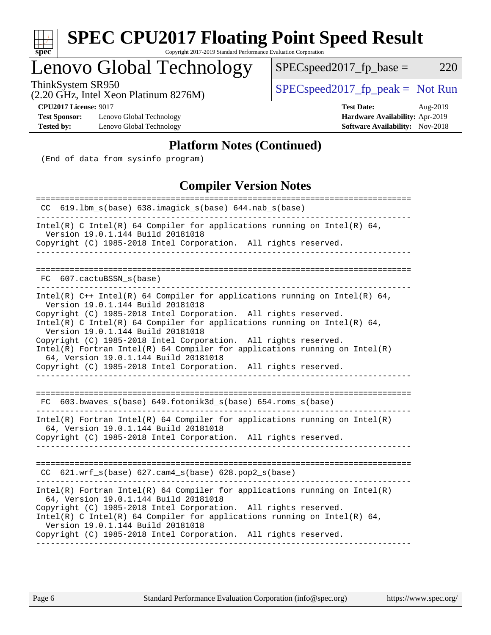| ч<br>c | п. | œ |  |
|--------|----|---|--|

# **[SPEC CPU2017 Floating Point Speed Result](http://www.spec.org/auto/cpu2017/Docs/result-fields.html#SPECCPU2017FloatingPointSpeedResult)**

Copyright 2017-2019 Standard Performance Evaluation Corporation

### Lenovo Global Technology

ThinkSystem SR950<br>  $(2.20 \text{ GHz. Intel Yoon Plitium } 8276M)$  [SPECspeed2017\\_fp\\_peak =](http://www.spec.org/auto/cpu2017/Docs/result-fields.html#SPECspeed2017fppeak) Not Run

 $SPEC speed2017_fp\_base = 220$ 

(2.20 GHz, Intel Xeon Platinum 8276M)

**[Test Sponsor:](http://www.spec.org/auto/cpu2017/Docs/result-fields.html#TestSponsor)** Lenovo Global Technology **[Hardware Availability:](http://www.spec.org/auto/cpu2017/Docs/result-fields.html#HardwareAvailability)** Apr-2019 **[Tested by:](http://www.spec.org/auto/cpu2017/Docs/result-fields.html#Testedby)** Lenovo Global Technology **[Software Availability:](http://www.spec.org/auto/cpu2017/Docs/result-fields.html#SoftwareAvailability)** Nov-2018

**[CPU2017 License:](http://www.spec.org/auto/cpu2017/Docs/result-fields.html#CPU2017License)** 9017 **[Test Date:](http://www.spec.org/auto/cpu2017/Docs/result-fields.html#TestDate)** Aug-2019

#### **[Platform Notes \(Continued\)](http://www.spec.org/auto/cpu2017/Docs/result-fields.html#PlatformNotes)**

(End of data from sysinfo program)

### **[Compiler Version Notes](http://www.spec.org/auto/cpu2017/Docs/result-fields.html#CompilerVersionNotes)**

| $CC$ 619.1bm_s(base) 638.imagick_s(base) 644.nab_s(base)<br>Intel(R) C Intel(R) 64 Compiler for applications running on Intel(R) 64,<br>Version 19.0.1.144 Build 20181018<br>Copyright (C) 1985-2018 Intel Corporation. All rights reserved. |
|----------------------------------------------------------------------------------------------------------------------------------------------------------------------------------------------------------------------------------------------|
|                                                                                                                                                                                                                                              |
|                                                                                                                                                                                                                                              |
|                                                                                                                                                                                                                                              |
|                                                                                                                                                                                                                                              |
| FC 607.cactuBSSN s(base)                                                                                                                                                                                                                     |
| Intel(R) $C++$ Intel(R) 64 Compiler for applications running on Intel(R) 64,<br>Version 19.0.1.144 Build 20181018                                                                                                                            |
| Copyright (C) 1985-2018 Intel Corporation. All rights reserved.<br>Intel(R) C Intel(R) 64 Compiler for applications running on Intel(R) 64,                                                                                                  |
| Version 19.0.1.144 Build 20181018                                                                                                                                                                                                            |
| Copyright (C) 1985-2018 Intel Corporation. All rights reserved.                                                                                                                                                                              |
| Intel(R) Fortran Intel(R) 64 Compiler for applications running on Intel(R)<br>64, Version 19.0.1.144 Build 20181018                                                                                                                          |
| Copyright (C) 1985-2018 Intel Corporation. All rights reserved.                                                                                                                                                                              |
|                                                                                                                                                                                                                                              |
| $FC$ 603.bwaves_s(base) 649.fotonik3d_s(base) 654.roms_s(base)                                                                                                                                                                               |
| $Intel(R)$ Fortran Intel(R) 64 Compiler for applications running on Intel(R)                                                                                                                                                                 |
| 64, Version 19.0.1.144 Build 20181018<br>Copyright (C) 1985-2018 Intel Corporation. All rights reserved.                                                                                                                                     |
|                                                                                                                                                                                                                                              |
|                                                                                                                                                                                                                                              |
| CC 621.wrf_s(base) 627.cam4_s(base) 628.pop2_s(base)                                                                                                                                                                                         |
| $Intel(R)$ Fortran Intel(R) 64 Compiler for applications running on Intel(R)<br>64, Version 19.0.1.144 Build 20181018                                                                                                                        |
| Copyright (C) 1985-2018 Intel Corporation. All rights reserved.                                                                                                                                                                              |
| Intel(R) C Intel(R) 64 Compiler for applications running on Intel(R) 64,<br>Version 19.0.1.144 Build 20181018                                                                                                                                |
| Copyright (C) 1985-2018 Intel Corporation. All rights reserved.                                                                                                                                                                              |
|                                                                                                                                                                                                                                              |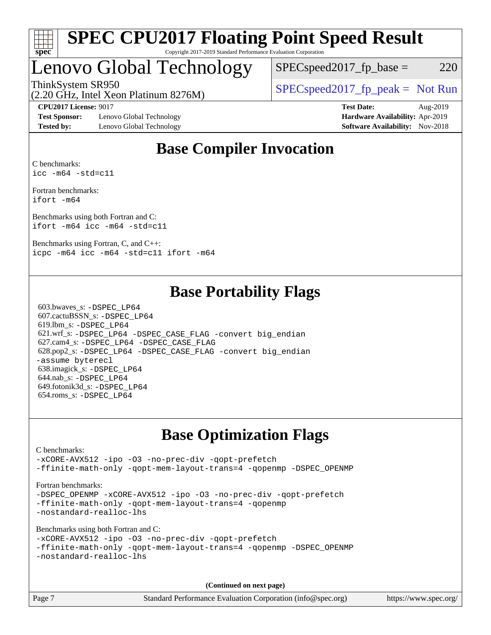

### Lenovo Global Technology

 $SPEC speed2017_fp\_base = 220$ 

(2.20 GHz, Intel Xeon Platinum 8276M)

ThinkSystem SR950<br>  $SPEC speed2017<sub>rfp</sub> peak = Not Run$ 

**[Test Sponsor:](http://www.spec.org/auto/cpu2017/Docs/result-fields.html#TestSponsor)** Lenovo Global Technology **[Hardware Availability:](http://www.spec.org/auto/cpu2017/Docs/result-fields.html#HardwareAvailability)** Apr-2019 **[Tested by:](http://www.spec.org/auto/cpu2017/Docs/result-fields.html#Testedby)** Lenovo Global Technology **[Software Availability:](http://www.spec.org/auto/cpu2017/Docs/result-fields.html#SoftwareAvailability)** Nov-2018

**[CPU2017 License:](http://www.spec.org/auto/cpu2017/Docs/result-fields.html#CPU2017License)** 9017 **[Test Date:](http://www.spec.org/auto/cpu2017/Docs/result-fields.html#TestDate)** Aug-2019

### **[Base Compiler Invocation](http://www.spec.org/auto/cpu2017/Docs/result-fields.html#BaseCompilerInvocation)**

[C benchmarks:](http://www.spec.org/auto/cpu2017/Docs/result-fields.html#Cbenchmarks) [icc -m64 -std=c11](http://www.spec.org/cpu2017/results/res2019q3/cpu2017-20190805-16714.flags.html#user_CCbase_intel_icc_64bit_c11_33ee0cdaae7deeeab2a9725423ba97205ce30f63b9926c2519791662299b76a0318f32ddfffdc46587804de3178b4f9328c46fa7c2b0cd779d7a61945c91cd35)

[Fortran benchmarks:](http://www.spec.org/auto/cpu2017/Docs/result-fields.html#Fortranbenchmarks) [ifort -m64](http://www.spec.org/cpu2017/results/res2019q3/cpu2017-20190805-16714.flags.html#user_FCbase_intel_ifort_64bit_24f2bb282fbaeffd6157abe4f878425411749daecae9a33200eee2bee2fe76f3b89351d69a8130dd5949958ce389cf37ff59a95e7a40d588e8d3a57e0c3fd751)

[Benchmarks using both Fortran and C:](http://www.spec.org/auto/cpu2017/Docs/result-fields.html#BenchmarksusingbothFortranandC) [ifort -m64](http://www.spec.org/cpu2017/results/res2019q3/cpu2017-20190805-16714.flags.html#user_CC_FCbase_intel_ifort_64bit_24f2bb282fbaeffd6157abe4f878425411749daecae9a33200eee2bee2fe76f3b89351d69a8130dd5949958ce389cf37ff59a95e7a40d588e8d3a57e0c3fd751) [icc -m64 -std=c11](http://www.spec.org/cpu2017/results/res2019q3/cpu2017-20190805-16714.flags.html#user_CC_FCbase_intel_icc_64bit_c11_33ee0cdaae7deeeab2a9725423ba97205ce30f63b9926c2519791662299b76a0318f32ddfffdc46587804de3178b4f9328c46fa7c2b0cd779d7a61945c91cd35)

[Benchmarks using Fortran, C, and C++:](http://www.spec.org/auto/cpu2017/Docs/result-fields.html#BenchmarksusingFortranCandCXX) [icpc -m64](http://www.spec.org/cpu2017/results/res2019q3/cpu2017-20190805-16714.flags.html#user_CC_CXX_FCbase_intel_icpc_64bit_4ecb2543ae3f1412ef961e0650ca070fec7b7afdcd6ed48761b84423119d1bf6bdf5cad15b44d48e7256388bc77273b966e5eb805aefd121eb22e9299b2ec9d9) [icc -m64 -std=c11](http://www.spec.org/cpu2017/results/res2019q3/cpu2017-20190805-16714.flags.html#user_CC_CXX_FCbase_intel_icc_64bit_c11_33ee0cdaae7deeeab2a9725423ba97205ce30f63b9926c2519791662299b76a0318f32ddfffdc46587804de3178b4f9328c46fa7c2b0cd779d7a61945c91cd35) [ifort -m64](http://www.spec.org/cpu2017/results/res2019q3/cpu2017-20190805-16714.flags.html#user_CC_CXX_FCbase_intel_ifort_64bit_24f2bb282fbaeffd6157abe4f878425411749daecae9a33200eee2bee2fe76f3b89351d69a8130dd5949958ce389cf37ff59a95e7a40d588e8d3a57e0c3fd751)

### **[Base Portability Flags](http://www.spec.org/auto/cpu2017/Docs/result-fields.html#BasePortabilityFlags)**

 603.bwaves\_s: [-DSPEC\\_LP64](http://www.spec.org/cpu2017/results/res2019q3/cpu2017-20190805-16714.flags.html#suite_basePORTABILITY603_bwaves_s_DSPEC_LP64) 607.cactuBSSN\_s: [-DSPEC\\_LP64](http://www.spec.org/cpu2017/results/res2019q3/cpu2017-20190805-16714.flags.html#suite_basePORTABILITY607_cactuBSSN_s_DSPEC_LP64) 619.lbm\_s: [-DSPEC\\_LP64](http://www.spec.org/cpu2017/results/res2019q3/cpu2017-20190805-16714.flags.html#suite_basePORTABILITY619_lbm_s_DSPEC_LP64) 621.wrf\_s: [-DSPEC\\_LP64](http://www.spec.org/cpu2017/results/res2019q3/cpu2017-20190805-16714.flags.html#suite_basePORTABILITY621_wrf_s_DSPEC_LP64) [-DSPEC\\_CASE\\_FLAG](http://www.spec.org/cpu2017/results/res2019q3/cpu2017-20190805-16714.flags.html#b621.wrf_s_baseCPORTABILITY_DSPEC_CASE_FLAG) [-convert big\\_endian](http://www.spec.org/cpu2017/results/res2019q3/cpu2017-20190805-16714.flags.html#user_baseFPORTABILITY621_wrf_s_convert_big_endian_c3194028bc08c63ac5d04de18c48ce6d347e4e562e8892b8bdbdc0214820426deb8554edfa529a3fb25a586e65a3d812c835984020483e7e73212c4d31a38223) 627.cam4\_s: [-DSPEC\\_LP64](http://www.spec.org/cpu2017/results/res2019q3/cpu2017-20190805-16714.flags.html#suite_basePORTABILITY627_cam4_s_DSPEC_LP64) [-DSPEC\\_CASE\\_FLAG](http://www.spec.org/cpu2017/results/res2019q3/cpu2017-20190805-16714.flags.html#b627.cam4_s_baseCPORTABILITY_DSPEC_CASE_FLAG) 628.pop2\_s: [-DSPEC\\_LP64](http://www.spec.org/cpu2017/results/res2019q3/cpu2017-20190805-16714.flags.html#suite_basePORTABILITY628_pop2_s_DSPEC_LP64) [-DSPEC\\_CASE\\_FLAG](http://www.spec.org/cpu2017/results/res2019q3/cpu2017-20190805-16714.flags.html#b628.pop2_s_baseCPORTABILITY_DSPEC_CASE_FLAG) [-convert big\\_endian](http://www.spec.org/cpu2017/results/res2019q3/cpu2017-20190805-16714.flags.html#user_baseFPORTABILITY628_pop2_s_convert_big_endian_c3194028bc08c63ac5d04de18c48ce6d347e4e562e8892b8bdbdc0214820426deb8554edfa529a3fb25a586e65a3d812c835984020483e7e73212c4d31a38223) [-assume byterecl](http://www.spec.org/cpu2017/results/res2019q3/cpu2017-20190805-16714.flags.html#user_baseFPORTABILITY628_pop2_s_assume_byterecl_7e47d18b9513cf18525430bbf0f2177aa9bf368bc7a059c09b2c06a34b53bd3447c950d3f8d6c70e3faf3a05c8557d66a5798b567902e8849adc142926523472) 638.imagick\_s: [-DSPEC\\_LP64](http://www.spec.org/cpu2017/results/res2019q3/cpu2017-20190805-16714.flags.html#suite_basePORTABILITY638_imagick_s_DSPEC_LP64) 644.nab\_s: [-DSPEC\\_LP64](http://www.spec.org/cpu2017/results/res2019q3/cpu2017-20190805-16714.flags.html#suite_basePORTABILITY644_nab_s_DSPEC_LP64) 649.fotonik3d\_s: [-DSPEC\\_LP64](http://www.spec.org/cpu2017/results/res2019q3/cpu2017-20190805-16714.flags.html#suite_basePORTABILITY649_fotonik3d_s_DSPEC_LP64) 654.roms\_s: [-DSPEC\\_LP64](http://www.spec.org/cpu2017/results/res2019q3/cpu2017-20190805-16714.flags.html#suite_basePORTABILITY654_roms_s_DSPEC_LP64)

### **[Base Optimization Flags](http://www.spec.org/auto/cpu2017/Docs/result-fields.html#BaseOptimizationFlags)**

#### [C benchmarks](http://www.spec.org/auto/cpu2017/Docs/result-fields.html#Cbenchmarks): [-xCORE-AVX512](http://www.spec.org/cpu2017/results/res2019q3/cpu2017-20190805-16714.flags.html#user_CCbase_f-xCORE-AVX512) [-ipo](http://www.spec.org/cpu2017/results/res2019q3/cpu2017-20190805-16714.flags.html#user_CCbase_f-ipo) [-O3](http://www.spec.org/cpu2017/results/res2019q3/cpu2017-20190805-16714.flags.html#user_CCbase_f-O3) [-no-prec-div](http://www.spec.org/cpu2017/results/res2019q3/cpu2017-20190805-16714.flags.html#user_CCbase_f-no-prec-div) [-qopt-prefetch](http://www.spec.org/cpu2017/results/res2019q3/cpu2017-20190805-16714.flags.html#user_CCbase_f-qopt-prefetch) [-ffinite-math-only](http://www.spec.org/cpu2017/results/res2019q3/cpu2017-20190805-16714.flags.html#user_CCbase_f_finite_math_only_cb91587bd2077682c4b38af759c288ed7c732db004271a9512da14a4f8007909a5f1427ecbf1a0fb78ff2a814402c6114ac565ca162485bbcae155b5e4258871) [-qopt-mem-layout-trans=4](http://www.spec.org/cpu2017/results/res2019q3/cpu2017-20190805-16714.flags.html#user_CCbase_f-qopt-mem-layout-trans_fa39e755916c150a61361b7846f310bcdf6f04e385ef281cadf3647acec3f0ae266d1a1d22d972a7087a248fd4e6ca390a3634700869573d231a252c784941a8) [-qopenmp](http://www.spec.org/cpu2017/results/res2019q3/cpu2017-20190805-16714.flags.html#user_CCbase_qopenmp_16be0c44f24f464004c6784a7acb94aca937f053568ce72f94b139a11c7c168634a55f6653758ddd83bcf7b8463e8028bb0b48b77bcddc6b78d5d95bb1df2967) [-DSPEC\\_OPENMP](http://www.spec.org/cpu2017/results/res2019q3/cpu2017-20190805-16714.flags.html#suite_CCbase_DSPEC_OPENMP) [Fortran benchmarks](http://www.spec.org/auto/cpu2017/Docs/result-fields.html#Fortranbenchmarks): -DSPEC OPENMP [-xCORE-AVX512](http://www.spec.org/cpu2017/results/res2019q3/cpu2017-20190805-16714.flags.html#user_FCbase_f-xCORE-AVX512) [-ipo](http://www.spec.org/cpu2017/results/res2019q3/cpu2017-20190805-16714.flags.html#user_FCbase_f-ipo) [-O3](http://www.spec.org/cpu2017/results/res2019q3/cpu2017-20190805-16714.flags.html#user_FCbase_f-O3) [-no-prec-div](http://www.spec.org/cpu2017/results/res2019q3/cpu2017-20190805-16714.flags.html#user_FCbase_f-no-prec-div) [-qopt-prefetch](http://www.spec.org/cpu2017/results/res2019q3/cpu2017-20190805-16714.flags.html#user_FCbase_f-qopt-prefetch) [-ffinite-math-only](http://www.spec.org/cpu2017/results/res2019q3/cpu2017-20190805-16714.flags.html#user_FCbase_f_finite_math_only_cb91587bd2077682c4b38af759c288ed7c732db004271a9512da14a4f8007909a5f1427ecbf1a0fb78ff2a814402c6114ac565ca162485bbcae155b5e4258871) [-qopt-mem-layout-trans=4](http://www.spec.org/cpu2017/results/res2019q3/cpu2017-20190805-16714.flags.html#user_FCbase_f-qopt-mem-layout-trans_fa39e755916c150a61361b7846f310bcdf6f04e385ef281cadf3647acec3f0ae266d1a1d22d972a7087a248fd4e6ca390a3634700869573d231a252c784941a8) [-qopenmp](http://www.spec.org/cpu2017/results/res2019q3/cpu2017-20190805-16714.flags.html#user_FCbase_qopenmp_16be0c44f24f464004c6784a7acb94aca937f053568ce72f94b139a11c7c168634a55f6653758ddd83bcf7b8463e8028bb0b48b77bcddc6b78d5d95bb1df2967) [-nostandard-realloc-lhs](http://www.spec.org/cpu2017/results/res2019q3/cpu2017-20190805-16714.flags.html#user_FCbase_f_2003_std_realloc_82b4557e90729c0f113870c07e44d33d6f5a304b4f63d4c15d2d0f1fab99f5daaed73bdb9275d9ae411527f28b936061aa8b9c8f2d63842963b95c9dd6426b8a) [Benchmarks using both Fortran and C](http://www.spec.org/auto/cpu2017/Docs/result-fields.html#BenchmarksusingbothFortranandC): [-xCORE-AVX512](http://www.spec.org/cpu2017/results/res2019q3/cpu2017-20190805-16714.flags.html#user_CC_FCbase_f-xCORE-AVX512) [-ipo](http://www.spec.org/cpu2017/results/res2019q3/cpu2017-20190805-16714.flags.html#user_CC_FCbase_f-ipo) [-O3](http://www.spec.org/cpu2017/results/res2019q3/cpu2017-20190805-16714.flags.html#user_CC_FCbase_f-O3) [-no-prec-div](http://www.spec.org/cpu2017/results/res2019q3/cpu2017-20190805-16714.flags.html#user_CC_FCbase_f-no-prec-div) [-qopt-prefetch](http://www.spec.org/cpu2017/results/res2019q3/cpu2017-20190805-16714.flags.html#user_CC_FCbase_f-qopt-prefetch) [-ffinite-math-only](http://www.spec.org/cpu2017/results/res2019q3/cpu2017-20190805-16714.flags.html#user_CC_FCbase_f_finite_math_only_cb91587bd2077682c4b38af759c288ed7c732db004271a9512da14a4f8007909a5f1427ecbf1a0fb78ff2a814402c6114ac565ca162485bbcae155b5e4258871) [-qopt-mem-layout-trans=4](http://www.spec.org/cpu2017/results/res2019q3/cpu2017-20190805-16714.flags.html#user_CC_FCbase_f-qopt-mem-layout-trans_fa39e755916c150a61361b7846f310bcdf6f04e385ef281cadf3647acec3f0ae266d1a1d22d972a7087a248fd4e6ca390a3634700869573d231a252c784941a8) [-qopenmp](http://www.spec.org/cpu2017/results/res2019q3/cpu2017-20190805-16714.flags.html#user_CC_FCbase_qopenmp_16be0c44f24f464004c6784a7acb94aca937f053568ce72f94b139a11c7c168634a55f6653758ddd83bcf7b8463e8028bb0b48b77bcddc6b78d5d95bb1df2967) [-DSPEC\\_OPENMP](http://www.spec.org/cpu2017/results/res2019q3/cpu2017-20190805-16714.flags.html#suite_CC_FCbase_DSPEC_OPENMP) [-nostandard-realloc-lhs](http://www.spec.org/cpu2017/results/res2019q3/cpu2017-20190805-16714.flags.html#user_CC_FCbase_f_2003_std_realloc_82b4557e90729c0f113870c07e44d33d6f5a304b4f63d4c15d2d0f1fab99f5daaed73bdb9275d9ae411527f28b936061aa8b9c8f2d63842963b95c9dd6426b8a) **(Continued on next page)**

Page 7 Standard Performance Evaluation Corporation [\(info@spec.org\)](mailto:info@spec.org) <https://www.spec.org/>